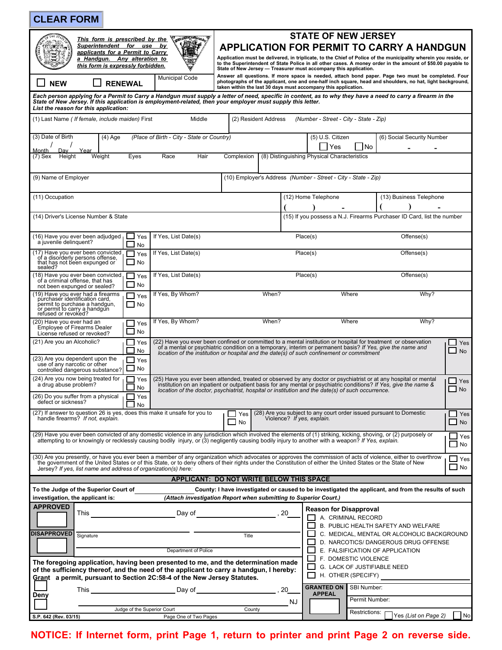| <b>CLEAR FORM</b>                                                                                                                                                                                                                                                                                                                                                                                  |                                                                                                                                                                                                                                                                                                                                                                                      |                                                                           |                                                                                    |                           |
|----------------------------------------------------------------------------------------------------------------------------------------------------------------------------------------------------------------------------------------------------------------------------------------------------------------------------------------------------------------------------------------------------|--------------------------------------------------------------------------------------------------------------------------------------------------------------------------------------------------------------------------------------------------------------------------------------------------------------------------------------------------------------------------------------|---------------------------------------------------------------------------|------------------------------------------------------------------------------------|---------------------------|
| <b>CONTACTOR</b><br>This form is prescribed by the<br>Superintendent for use by<br>applicants for a Permit to Carry<br>a Handgun. Any alteration to<br>this form is expressly forbidden.                                                                                                                                                                                                           | <b>STATE OF NEW JERSEY</b><br><b>APPLICATION FOR PERMIT TO CARRY A HANDGUN</b><br>Application must be delivered, in triplicate, to the Chief of Police of the municipality wherein you reside, or<br>to the Superintendent of State Police in all other cases. A money order in the amount of \$50.00 payable to<br>State of New Jersey - Treasurer must accompany this application. |                                                                           |                                                                                    |                           |
| <b>Municipal Code</b><br><b>RENEWAL</b><br><b>NEW</b>                                                                                                                                                                                                                                                                                                                                              | Answer all questions. If more space is needed, attach bond paper. Page two must be completed. Four<br>photographs of the applicant, one and one-half inch square, head and shoulders, no hat, light background,<br>taken within the last 30 days must accompany this application.                                                                                                    |                                                                           |                                                                                    |                           |
| Each person applying for a Permit to Carry a Handgun must supply a letter of need, specific in content, as to why they have a need to carry a firearm in the<br>State of New Jersey. If this application is employment-related, then your employer must supply this letter.<br>List the reason for this application:                                                                               |                                                                                                                                                                                                                                                                                                                                                                                      |                                                                           |                                                                                    |                           |
| (1) Last Name ( If female, include maiden) First<br>Middle                                                                                                                                                                                                                                                                                                                                         | (2) Resident Address                                                                                                                                                                                                                                                                                                                                                                 | (Number - Street - City - State - Zip)                                    |                                                                                    |                           |
| (3) Date of Birth<br>(Place of Birth - City - State or Country)<br>$(4)$ Age<br>Month<br>Dav<br>Year                                                                                                                                                                                                                                                                                               |                                                                                                                                                                                                                                                                                                                                                                                      | (5) U.S. Citizen<br>l No<br>Yes                                           | (6) Social Security Number                                                         |                           |
| Race<br>(7) Sex<br>Height<br>Weight<br>Eyes<br>Hair                                                                                                                                                                                                                                                                                                                                                | Complexion                                                                                                                                                                                                                                                                                                                                                                           | (8) Distinguishing Physical Characteristics                               |                                                                                    |                           |
| (9) Name of Employer                                                                                                                                                                                                                                                                                                                                                                               |                                                                                                                                                                                                                                                                                                                                                                                      | (10) Employer's Address (Number - Street - City - State - Zip)            |                                                                                    |                           |
| (11) Occupation                                                                                                                                                                                                                                                                                                                                                                                    |                                                                                                                                                                                                                                                                                                                                                                                      | (12) Home Telephone                                                       | (13) Business Telephone                                                            |                           |
| (14) Driver's License Number & State                                                                                                                                                                                                                                                                                                                                                               |                                                                                                                                                                                                                                                                                                                                                                                      | (15) If you possess a N.J. Firearms Purchaser ID Card, list the number    |                                                                                    |                           |
| (16) Have you ever been adjudged<br>⊿ Yes<br>If Yes, List Date(s)<br>a juvenile delinquent?<br>No                                                                                                                                                                                                                                                                                                  |                                                                                                                                                                                                                                                                                                                                                                                      | Place(s)                                                                  | Offense(s)                                                                         |                           |
| (17) Have you ever been convicted,<br>If Yes, List Date(s)<br>Yes<br>of a disorderly persons offense,<br>that has not been expunged or<br>$\Box$ No<br>sealed?                                                                                                                                                                                                                                     | Offense(s)<br>Place(s)                                                                                                                                                                                                                                                                                                                                                               |                                                                           |                                                                                    |                           |
| (18) Have you ever been convicted,<br>If Yes, List Date(s)<br>$\Box$ Yes<br>of a criminal offense, that has<br>No<br>not been expunged or sealed?                                                                                                                                                                                                                                                  |                                                                                                                                                                                                                                                                                                                                                                                      | Place(s)                                                                  | Offense(s)                                                                         |                           |
| (19) Have you ever had a firearms<br>purchaser identification card,<br>If Yes, By Whom?<br>$\Box$ Yes<br>permit to purchase a handgun,<br>or permit to carry a handgun<br>$\Box$ No<br>refused or revoked?                                                                                                                                                                                         | When?                                                                                                                                                                                                                                                                                                                                                                                | Where                                                                     | Why?                                                                               |                           |
| If Yes, By Whom?<br>(20) Have you ever had an<br>Yes<br>Employee of Firearms Dealer<br>No<br>License refused or revoked?                                                                                                                                                                                                                                                                           | When?                                                                                                                                                                                                                                                                                                                                                                                | Where                                                                     | Why?                                                                               |                           |
| (21) Are you an Alcoholic?<br>Yes<br>No                                                                                                                                                                                                                                                                                                                                                            | (22) Have you ever been confined or committed to a mental institution or hospital for treatment or observation<br>of a mental or psychiatric condition on a temporary, interim or permanent basis? If Yes, give the name and<br>location of the institution or hospital and the date(s) of such confinement or commitment                                                            |                                                                           |                                                                                    | Yes<br><b>No</b>          |
| (23) Are you dependent upon the<br>Yes<br>use of any narcotic or other<br>No<br>controlled dangerous substance?                                                                                                                                                                                                                                                                                    |                                                                                                                                                                                                                                                                                                                                                                                      |                                                                           |                                                                                    |                           |
| (24) Are you now being treated for<br>Yes<br>a drug abuse problem?<br>No                                                                                                                                                                                                                                                                                                                           | (25) Have you ever been attended, treated or observed by any doctor or psychiatrist or at any hospital or mental<br>$\sqcup$ Yes<br>institution on an inpatient or outpatient basis for any mental or psychiatric conditions? If Yes, give the name &<br>$\Box$ No<br>location of the doctor, psychiatrist, hospital or institution and the date(s) of such occurrence.              |                                                                           |                                                                                    |                           |
| (26) Do you suffer from a physical<br>Yes<br>defect or sickness?<br><b>No</b><br>(27) If answer to question 26 is yes, does this make it unsafe for you to                                                                                                                                                                                                                                         | $\Box$ Yes                                                                                                                                                                                                                                                                                                                                                                           | (28) Are you subject to any court order issued pursuant to Domestic       |                                                                                    | $\Box$ Yes                |
| handle firearms? If not, explain.                                                                                                                                                                                                                                                                                                                                                                  | Violence? If yes, explain.<br><b>No</b>                                                                                                                                                                                                                                                                                                                                              |                                                                           |                                                                                    | $\Box$ No                 |
| (29) Have you ever been convicted of any domestic violence in any jurisdiction which involved the elements of (1) striking, kicking, shoving, or (2) purposely or<br>attempting to or knowingly or recklessly causing bodily injury, or (3) negligently causing bodily injury to another with a weapon? If Yes, explain.                                                                           |                                                                                                                                                                                                                                                                                                                                                                                      |                                                                           |                                                                                    | Yes<br>$\Box$ No          |
| (30) Are you presently, or have you ever been a member of any organization which advocates or approves the commission of acts of violence, either to overthrow<br>the government of the United States or of this State, or to deny others of their rights under the Constitution of either the United States or the State of New<br>Jersey? If yes, list name and address of organization(s) here: |                                                                                                                                                                                                                                                                                                                                                                                      |                                                                           |                                                                                    | $\sqcup$ Yes<br>$\Box$ No |
|                                                                                                                                                                                                                                                                                                                                                                                                    | APPLICANT: DO NOT WRITE BELOW THIS SPACE                                                                                                                                                                                                                                                                                                                                             |                                                                           |                                                                                    |                           |
| To the Judge of the Superior Court of                                                                                                                                                                                                                                                                                                                                                              | County: I have investigated or caused to be investigated the applicant, and from the results of such                                                                                                                                                                                                                                                                                 |                                                                           |                                                                                    |                           |
| investigation, the applicant is:<br><b>APPROVED</b>                                                                                                                                                                                                                                                                                                                                                | (Attach investigation Report when submitting to Superior Court.)                                                                                                                                                                                                                                                                                                                     |                                                                           |                                                                                    |                           |
|                                                                                                                                                                                                                                                                                                                                                                                                    |                                                                                                                                                                                                                                                                                                                                                                                      | <b>Reason for Disapproval</b><br>A. CRIMINAL RECORD                       |                                                                                    |                           |
|                                                                                                                                                                                                                                                                                                                                                                                                    |                                                                                                                                                                                                                                                                                                                                                                                      |                                                                           | B. PUBLIC HEALTH SAFETY AND WELFARE                                                |                           |
| <b>DISAPPROVED</b><br>Signature                                                                                                                                                                                                                                                                                                                                                                    | Title                                                                                                                                                                                                                                                                                                                                                                                |                                                                           | C. MEDICAL, MENTAL OR ALCOHOLIC BACKGROUND<br>D. NARCOTICS/ DANGEROUS DRUG OFFENSE |                           |
| Department of Police                                                                                                                                                                                                                                                                                                                                                                               |                                                                                                                                                                                                                                                                                                                                                                                      | E. FALSIFICATION OF APPLICATION                                           |                                                                                    |                           |
| The foregoing application, having been presented to me, and the determination made<br>of the sufficiency thereof, and the need of the applicant to carry a handgun, I hereby:<br>Grant a permit, pursuant to Section 2C:58-4 of the New Jersey Statutes.                                                                                                                                           |                                                                                                                                                                                                                                                                                                                                                                                      | F. DOMESTIC VIOLENCE<br>G. LACK OF JUSTIFIABLE NEED<br>H. OTHER (SPECIFY) |                                                                                    |                           |
|                                                                                                                                                                                                                                                                                                                                                                                                    |                                                                                                                                                                                                                                                                                                                                                                                      | <b>GRANTED ON   SBI Number:</b>                                           |                                                                                    |                           |
| Deny                                                                                                                                                                                                                                                                                                                                                                                               |                                                                                                                                                                                                                                                                                                                                                                                      | <b>APPEAL</b><br>Permit Number:                                           |                                                                                    |                           |
| Judge of the Superior Court                                                                                                                                                                                                                                                                                                                                                                        | NJ<br>County                                                                                                                                                                                                                                                                                                                                                                         | Restrictions:                                                             |                                                                                    |                           |
| S.P. 642 (Rev. 03/15)<br>Page One of Two Pages                                                                                                                                                                                                                                                                                                                                                     |                                                                                                                                                                                                                                                                                                                                                                                      |                                                                           | Yes (List on Page 2)                                                               | No                        |
| NOTICE: If Internet form, print Page 1, return to printer and print Page 2 on reverse side.                                                                                                                                                                                                                                                                                                        |                                                                                                                                                                                                                                                                                                                                                                                      |                                                                           |                                                                                    |                           |